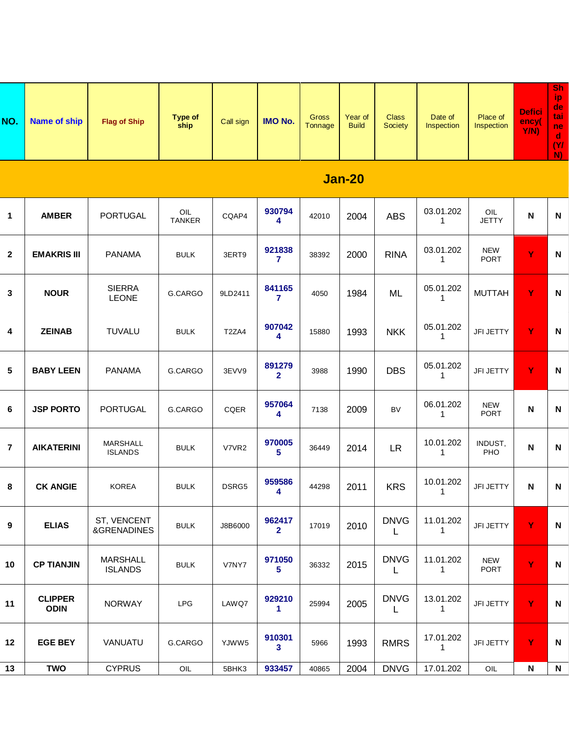| NO. | Name of ship | <b>Flag of Ship</b> | <b>Type of</b><br>ship | Call sign | <b>IMO No.</b> | <b>Gross</b><br><b>Fonnage</b> | Year of<br><b>Build</b> | <b>Class</b><br><b>Society</b> | Date of<br>Inspection | Place of<br>Inspection | <b>Defici</b><br>ency(<br>Y/N | <b>Sh</b><br>ND.<br>de<br>tai<br>ne<br>d<br><b>NI</b><br><b>M</b> |
|-----|--------------|---------------------|------------------------|-----------|----------------|--------------------------------|-------------------------|--------------------------------|-----------------------|------------------------|-------------------------------|-------------------------------------------------------------------|
|-----|--------------|---------------------|------------------------|-----------|----------------|--------------------------------|-------------------------|--------------------------------|-----------------------|------------------------|-------------------------------|-------------------------------------------------------------------|

## **Jan-20**

| $\mathbf 1$    | <b>AMBER</b>                  | <b>PORTUGAL</b>                   | OIL<br>TANKER | CQAP4   | 930794<br>4                    | 42010 | 2004 | <b>ABS</b>                 | 03.01.202<br>$\mathbf{1}$ | OIL<br><b>JETTY</b>       | N                         | ${\sf N}$                 |
|----------------|-------------------------------|-----------------------------------|---------------|---------|--------------------------------|-------|------|----------------------------|---------------------------|---------------------------|---------------------------|---------------------------|
| $\mathbf{2}$   | <b>EMAKRIS III</b>            | <b>PANAMA</b>                     | <b>BULK</b>   | 3ERT9   | 921838<br>$\mathbf{7}$         | 38392 | 2000 | <b>RINA</b>                | 03.01.202<br>$\mathbf{1}$ | <b>NEW</b><br><b>PORT</b> | Ÿ                         | N                         |
| $\mathbf 3$    | <b>NOUR</b>                   | <b>SIERRA</b><br><b>LEONE</b>     | G.CARGO       | 9LD2411 | 841165<br>$\mathbf{7}$         | 4050  | 1984 | ML                         | 05.01.202<br>$\mathbf{1}$ | <b>MUTTAH</b>             | Y                         | $\boldsymbol{\mathsf{N}}$ |
| 4              | <b>ZEINAB</b>                 | <b>TUVALU</b>                     | <b>BULK</b>   | T2ZA4   | 907042<br>4                    | 15880 | 1993 | <b>NKK</b>                 | 05.01.202<br>$\mathbf{1}$ | JFI JETTY                 | Y                         | ${\sf N}$                 |
| $\sqrt{5}$     | <b>BABY LEEN</b>              | <b>PANAMA</b>                     | G.CARGO       | 3EVV9   | 891279<br>$\overline{2}$       | 3988  | 1990 | <b>DBS</b>                 | 05.01.202<br>$\mathbf{1}$ | JFI JETTY                 | Y                         | N                         |
| 6              | <b>JSP PORTO</b>              | <b>PORTUGAL</b>                   | G.CARGO       | CQER    | 957064<br>4                    | 7138  | 2009 | <b>BV</b>                  | 06.01.202<br>$\mathbf{1}$ | <b>NEW</b><br><b>PORT</b> | $\boldsymbol{\mathsf{N}}$ | ${\sf N}$                 |
| $\overline{7}$ | <b>AIKATERINI</b>             | <b>MARSHALL</b><br><b>ISLANDS</b> | <b>BULK</b>   | V7VR2   | 970005<br>5                    | 36449 | 2014 | LR                         | 10.01.202<br>$\mathbf{1}$ | INDUST.<br>PHO            | ${\sf N}$                 | ${\sf N}$                 |
| 8              | <b>CK ANGIE</b>               | <b>KOREA</b>                      | <b>BULK</b>   | DSRG5   | 959586<br>4                    | 44298 | 2011 | <b>KRS</b>                 | 10.01.202<br>$\mathbf{1}$ | JFI JETTY                 | ${\sf N}$                 | ${\sf N}$                 |
| 9              | <b>ELIAS</b>                  | ST, VENCENT<br>&GRENADINES        | <b>BULK</b>   | J8B6000 | 962417<br>$\overline{2}$       | 17019 | 2010 | <b>DNVG</b><br>L           | 11.01.202<br>$\mathbf{1}$ | JFI JETTY                 | Y                         | ${\sf N}$                 |
| 10             | <b>CP TIANJIN</b>             | <b>MARSHALL</b><br><b>ISLANDS</b> | <b>BULK</b>   | V7NY7   | 971050<br>5                    | 36332 | 2015 | <b>DNVG</b><br>$\mathsf L$ | 11.01.202<br>$\mathbf{1}$ | <b>NEW</b><br><b>PORT</b> | Ÿ                         | N                         |
| 11             | <b>CLIPPER</b><br><b>ODIN</b> | <b>NORWAY</b>                     | <b>LPG</b>    | LAWQ7   | 929210<br>$\blacktriangleleft$ | 25994 | 2005 | <b>DNVG</b><br>L           | 13.01.202<br>$\mathbf{1}$ | JFI JETTY                 | Y                         | ${\sf N}$                 |
| 12             | <b>EGE BEY</b>                | VANUATU                           | G.CARGO       | YJWW5   | 910301<br>3 <sup>1</sup>       | 5966  | 1993 | <b>RMRS</b>                | 17.01.202<br>$\mathbf{1}$ | JFI JETTY                 | Y                         | N                         |
| 13             | <b>TWO</b>                    | <b>CYPRUS</b>                     | OIL           | 5BHK3   | 933457                         | 40865 | 2004 | <b>DNVG</b>                | 17.01.202                 | OIL                       | N                         | N                         |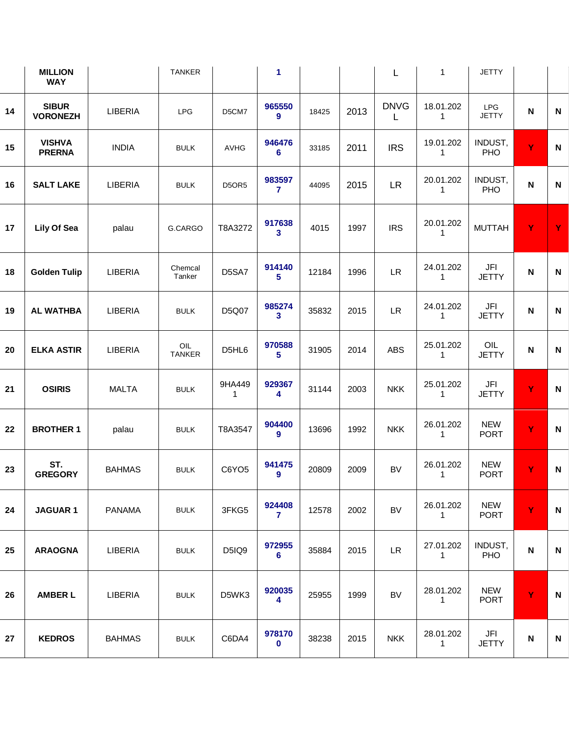|    | <b>MILLION</b><br><b>WAY</b>    |               | <b>TANKER</b>                   |                        | $\blacktriangleleft$              |       |      | L                | $\overline{1}$                       | <b>JETTY</b>                   |              |              |
|----|---------------------------------|---------------|---------------------------------|------------------------|-----------------------------------|-------|------|------------------|--------------------------------------|--------------------------------|--------------|--------------|
| 14 | <b>SIBUR</b><br><b>VORONEZH</b> | LIBERIA       | <b>LPG</b>                      | D5CM7                  | 965550<br>9                       | 18425 | 2013 | <b>DNVG</b><br>L | 18.01.202<br>$\overline{1}$          | LPG<br><b>JETTY</b>            | $\mathsf{N}$ | N            |
| 15 | <b>VISHVA</b><br><b>PRERNA</b>  | <b>INDIA</b>  | <b>BULK</b>                     | AVHG                   | 946476<br>$6\phantom{1}$          | 33185 | 2011 | <b>IRS</b>       | 19.01.202<br>-1                      | INDUST,<br>PHO                 | Ÿ            | ${\sf N}$    |
| 16 | <b>SALT LAKE</b>                | LIBERIA       | <b>BULK</b>                     | D5OR5                  | 983597<br>$\overline{7}$          | 44095 | 2015 | LR               | 20.01.202<br>$\overline{\mathbf{1}}$ | INDUST,<br>PHO                 | $\mathbf N$  | $\mathbf N$  |
| 17 | Lily Of Sea                     | palau         | G.CARGO                         | T8A3272                | 917638<br>$\mathbf{3}$            | 4015  | 1997 | <b>IRS</b>       | 20.01.202<br>$\overline{1}$          | <b>MUTTAH</b>                  | $\mathbf Y$  | Y            |
| 18 | <b>Golden Tulip</b>             | LIBERIA       | Chemcal<br>Tanker               | D5SA7                  | 914140<br>5 <sup>5</sup>          | 12184 | 1996 | ${\sf LR}$       | 24.01.202<br>$\overline{1}$          | $\mathsf{JFI}$<br><b>JETTY</b> | $\mathbf N$  | N            |
| 19 | <b>AL WATHBA</b>                | LIBERIA       | <b>BULK</b>                     | D5Q07                  | 985274<br>$\mathbf{3}$            | 35832 | 2015 | <b>LR</b>        | 24.01.202<br>-1                      | JFI<br><b>JETTY</b>            | $\mathbf N$  | $\mathsf{N}$ |
| 20 | <b>ELKA ASTIR</b>               | LIBERIA       | $\mathsf{OIL}$<br><b>TANKER</b> | D5HL6                  | 970588<br>5 <sup>5</sup>          | 31905 | 2014 | ABS              | 25.01.202<br>$\overline{1}$          | $OIL$<br><b>JETTY</b>          | $\mathbf N$  | $\mathsf{N}$ |
| 21 | <b>OSIRIS</b>                   | <b>MALTA</b>  | <b>BULK</b>                     | 9HA449<br>$\mathbf{1}$ | 929367<br>4                       | 31144 | 2003 | <b>NKK</b>       | 25.01.202<br>$\overline{1}$          | JFI<br><b>JETTY</b>            | $\mathbf Y$  | $\mathsf{N}$ |
| 22 | <b>BROTHER 1</b>                | palau         | <b>BULK</b>                     | T8A3547                | 904400<br>$\overline{9}$          | 13696 | 1992 | <b>NKK</b>       | 26.01.202<br>$\overline{1}$          | <b>NEW</b><br><b>PORT</b>      | Y            | $\mathsf{N}$ |
| 23 | ST.<br><b>GREGORY</b>           | <b>BAHMAS</b> | <b>BULK</b>                     | C6YO5                  | 941475<br>9                       | 20809 | 2009 | <b>BV</b>        | 26.01.202<br>-1                      | <b>NEW</b><br><b>PORT</b>      | Y            | $\mathsf{N}$ |
| 24 | <b>JAGUAR1</b>                  | <b>PANAMA</b> | <b>BULK</b>                     | 3FKG5                  | 924408<br>$\overline{7}$          | 12578 | 2002 | <b>BV</b>        | 26.01.202<br>$\mathbf{1}$            | <b>NEW</b><br><b>PORT</b>      | $\mathbf Y$  | $\mathsf{N}$ |
| 25 | <b>ARAOGNA</b>                  | LIBERIA       | <b>BULK</b>                     | D5IQ9                  | 972955<br>$6\phantom{1}$          | 35884 | 2015 | ${\sf LR}$       | 27.01.202<br>$\overline{1}$          | INDUST,<br>PHO                 | $\mathbf N$  | $\mathsf{N}$ |
| 26 | <b>AMBER L</b>                  | LIBERIA       | <b>BULK</b>                     | D5WK3                  | 920035<br>$\overline{\mathbf{4}}$ | 25955 | 1999 | <b>BV</b>        | 28.01.202<br>$\overline{1}$          | <b>NEW</b><br><b>PORT</b>      | $\mathbf Y$  | $\mathbf N$  |
| 27 | <b>KEDROS</b>                   | <b>BAHMAS</b> | <b>BULK</b>                     | C6DA4                  | 978170<br>$\mathbf 0$             | 38238 | 2015 | <b>NKK</b>       | 28.01.202<br>-1                      | JFI<br><b>JETTY</b>            | $\mathsf N$  | N            |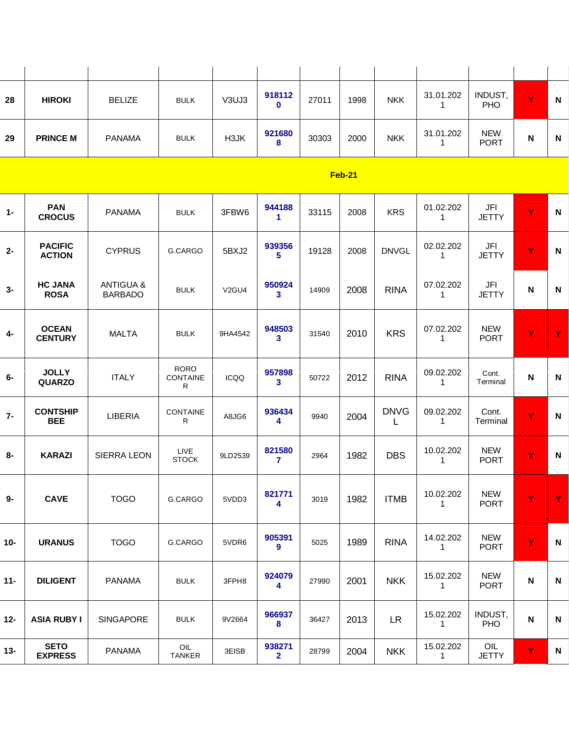| 28 | <b>HIROKI</b>   | <b>BELIZE</b> | <b>BULK</b> | V3UJ3 | 918112<br>0 | 27011 | 1998 | <b>NKK</b> | 31.01.202 | INDUST,<br><b>PHO</b>     | $\mathbf{v}$ | N |
|----|-----------------|---------------|-------------|-------|-------------|-------|------|------------|-----------|---------------------------|--------------|---|
| 29 | <b>PRINCE M</b> | <b>PANAMA</b> | <b>BULK</b> | H3JK  | 921680<br>8 | 30303 | 2000 | <b>NKK</b> | 31.01.202 | <b>NEW</b><br><b>PORT</b> | N            | N |

| <b>PACIFIC</b><br>939356<br>02.02.202<br>JFI<br>Y<br><b>CYPRUS</b><br>5BXJ2<br>19128<br>2008<br><b>DNVGL</b><br>$\boldsymbol{\mathsf{N}}$<br>$2 -$<br>G.CARGO<br>5 <sup>5</sup><br><b>ACTION</b><br><b>JETTY</b><br>$\mathbf{1}$<br><b>HC JANA</b><br><b>ANTIGUA &amp;</b><br>950924<br>07.02.202<br>JFI<br><b>RINA</b><br>$3-$<br>2008<br>$\boldsymbol{\mathsf{N}}$<br>$\boldsymbol{\mathsf{N}}$<br><b>BULK</b><br>V <sub>2</sub> GU <sub>4</sub><br>14909<br>3 <sup>1</sup><br><b>BARBADO</b><br><b>JETTY</b><br><b>ROSA</b><br>$\mathbf{1}$<br><b>OCEAN</b><br>948503<br>07.02.202<br><b>NEW</b><br>Y<br><b>KRS</b><br>Y<br><b>MALTA</b><br>4-<br>2010<br><b>BULK</b><br>9HA4542<br>31540<br><b>CENTURY</b><br>$\mathbf{3}$<br><b>PORT</b><br>$\mathbf{1}$<br><b>RORO</b><br><b>JOLLY</b><br>957898<br>09.02.202<br>Cont.<br><b>ITALY</b><br><b>RINA</b><br>N<br>$\boldsymbol{\mathsf{N}}$<br>6-<br>CONTAINE<br>ICQQ<br>50722<br>2012<br><b>QUARZO</b><br>3 <sup>1</sup><br>$\mathbf{1}$<br>Terminal<br>R<br><b>DNVG</b><br><b>CONTSHIP</b><br>936434<br>09.02.202<br>Cont.<br><b>CONTAINE</b><br>Ÿ<br><b>LIBERIA</b><br>2004<br>N<br>A8JG6<br>9940<br>R<br><b>BEE</b><br>4<br>Terminal<br>$\mathbf{1}$<br>L<br>821580<br>10.02.202<br><b>NEW</b><br><b>LIVE</b><br>Ÿ<br>$8-$<br><b>DBS</b><br><b>KARAZI</b><br><b>SIERRA LEON</b><br>N<br>9LD2539<br>2964<br>1982<br><b>STOCK</b><br><b>PORT</b><br>7<br>$\mathbf{1}$<br><b>NEW</b><br>821771<br>10.02.202<br>Ÿ<br>Y<br><b>CAVE</b><br><b>TOGO</b><br>1982<br><b>ITMB</b><br>9-<br>G.CARGO<br>5VDD3<br>3019<br><b>PORT</b><br>4<br>$\mathbf{1}$<br>905391<br><b>NEW</b><br>14.02.202<br>Ÿ<br>1989<br><b>RINA</b><br>$\boldsymbol{\mathsf{N}}$<br><b>URANUS</b><br><b>TOGO</b><br>G.CARGO<br>5VDR6<br>5025<br>$\overline{9}$<br>$\mathbf{1}$<br><b>PORT</b><br><b>NEW</b><br>924079<br>15.02.202<br>2001<br><b>NKK</b><br>$\boldsymbol{\mathsf{N}}$<br><b>DILIGENT</b><br><b>PANAMA</b><br>3FPH8<br>27990<br>N<br><b>BULK</b><br><b>PORT</b><br>$\overline{\mathbf{4}}$<br>$\mathbf{1}$<br>966937<br>15.02.202<br>INDUST,<br><b>LR</b><br>2013<br>N<br><b>ASIA RUBY I</b><br><b>SINGAPORE</b><br>36427<br>N<br><b>BULK</b><br>9V2664<br>PHO<br>8<br>$\mathbf{1}$<br><b>SETO</b><br>938271<br>15.02.202<br>OIL<br>OIL<br><b>NKK</b><br>2004<br>Y<br><b>PANAMA</b><br>N<br>3EISB<br>28799<br><b>EXPRESS</b><br><b>TANKER</b><br><b>JETTY</b><br>$\mathbf{2}$<br>$\mathbf{1}$ | $1 -$  | <b>PAN</b><br><b>CROCUS</b> | <b>PANAMA</b> | <b>BULK</b> | 3FBW6 | 944188<br>$\blacktriangleleft$ | 33115 | 2008 | <b>KRS</b> | 01.02.202<br>$\mathbf{1}$ | JFI<br><b>JETTY</b> | Y | $\mathsf{N}$ |
|-------------------------------------------------------------------------------------------------------------------------------------------------------------------------------------------------------------------------------------------------------------------------------------------------------------------------------------------------------------------------------------------------------------------------------------------------------------------------------------------------------------------------------------------------------------------------------------------------------------------------------------------------------------------------------------------------------------------------------------------------------------------------------------------------------------------------------------------------------------------------------------------------------------------------------------------------------------------------------------------------------------------------------------------------------------------------------------------------------------------------------------------------------------------------------------------------------------------------------------------------------------------------------------------------------------------------------------------------------------------------------------------------------------------------------------------------------------------------------------------------------------------------------------------------------------------------------------------------------------------------------------------------------------------------------------------------------------------------------------------------------------------------------------------------------------------------------------------------------------------------------------------------------------------------------------------------------------------------------------------------------------------------------------------------------------------------------------------------------------------------------------------------------------------------------------------------------------------------------------------------------------------------------------------------------------------------------------------------------------------------------------------------------------------------------|--------|-----------------------------|---------------|-------------|-------|--------------------------------|-------|------|------------|---------------------------|---------------------|---|--------------|
|                                                                                                                                                                                                                                                                                                                                                                                                                                                                                                                                                                                                                                                                                                                                                                                                                                                                                                                                                                                                                                                                                                                                                                                                                                                                                                                                                                                                                                                                                                                                                                                                                                                                                                                                                                                                                                                                                                                                                                                                                                                                                                                                                                                                                                                                                                                                                                                                                               |        |                             |               |             |       |                                |       |      |            |                           |                     |   |              |
|                                                                                                                                                                                                                                                                                                                                                                                                                                                                                                                                                                                                                                                                                                                                                                                                                                                                                                                                                                                                                                                                                                                                                                                                                                                                                                                                                                                                                                                                                                                                                                                                                                                                                                                                                                                                                                                                                                                                                                                                                                                                                                                                                                                                                                                                                                                                                                                                                               |        |                             |               |             |       |                                |       |      |            |                           |                     |   |              |
|                                                                                                                                                                                                                                                                                                                                                                                                                                                                                                                                                                                                                                                                                                                                                                                                                                                                                                                                                                                                                                                                                                                                                                                                                                                                                                                                                                                                                                                                                                                                                                                                                                                                                                                                                                                                                                                                                                                                                                                                                                                                                                                                                                                                                                                                                                                                                                                                                               |        |                             |               |             |       |                                |       |      |            |                           |                     |   |              |
|                                                                                                                                                                                                                                                                                                                                                                                                                                                                                                                                                                                                                                                                                                                                                                                                                                                                                                                                                                                                                                                                                                                                                                                                                                                                                                                                                                                                                                                                                                                                                                                                                                                                                                                                                                                                                                                                                                                                                                                                                                                                                                                                                                                                                                                                                                                                                                                                                               |        |                             |               |             |       |                                |       |      |            |                           |                     |   |              |
|                                                                                                                                                                                                                                                                                                                                                                                                                                                                                                                                                                                                                                                                                                                                                                                                                                                                                                                                                                                                                                                                                                                                                                                                                                                                                                                                                                                                                                                                                                                                                                                                                                                                                                                                                                                                                                                                                                                                                                                                                                                                                                                                                                                                                                                                                                                                                                                                                               | $7 -$  |                             |               |             |       |                                |       |      |            |                           |                     |   |              |
|                                                                                                                                                                                                                                                                                                                                                                                                                                                                                                                                                                                                                                                                                                                                                                                                                                                                                                                                                                                                                                                                                                                                                                                                                                                                                                                                                                                                                                                                                                                                                                                                                                                                                                                                                                                                                                                                                                                                                                                                                                                                                                                                                                                                                                                                                                                                                                                                                               |        |                             |               |             |       |                                |       |      |            |                           |                     |   |              |
|                                                                                                                                                                                                                                                                                                                                                                                                                                                                                                                                                                                                                                                                                                                                                                                                                                                                                                                                                                                                                                                                                                                                                                                                                                                                                                                                                                                                                                                                                                                                                                                                                                                                                                                                                                                                                                                                                                                                                                                                                                                                                                                                                                                                                                                                                                                                                                                                                               |        |                             |               |             |       |                                |       |      |            |                           |                     |   |              |
|                                                                                                                                                                                                                                                                                                                                                                                                                                                                                                                                                                                                                                                                                                                                                                                                                                                                                                                                                                                                                                                                                                                                                                                                                                                                                                                                                                                                                                                                                                                                                                                                                                                                                                                                                                                                                                                                                                                                                                                                                                                                                                                                                                                                                                                                                                                                                                                                                               | $10-$  |                             |               |             |       |                                |       |      |            |                           |                     |   |              |
|                                                                                                                                                                                                                                                                                                                                                                                                                                                                                                                                                                                                                                                                                                                                                                                                                                                                                                                                                                                                                                                                                                                                                                                                                                                                                                                                                                                                                                                                                                                                                                                                                                                                                                                                                                                                                                                                                                                                                                                                                                                                                                                                                                                                                                                                                                                                                                                                                               | $11 -$ |                             |               |             |       |                                |       |      |            |                           |                     |   |              |
|                                                                                                                                                                                                                                                                                                                                                                                                                                                                                                                                                                                                                                                                                                                                                                                                                                                                                                                                                                                                                                                                                                                                                                                                                                                                                                                                                                                                                                                                                                                                                                                                                                                                                                                                                                                                                                                                                                                                                                                                                                                                                                                                                                                                                                                                                                                                                                                                                               | $12 -$ |                             |               |             |       |                                |       |      |            |                           |                     |   |              |
|                                                                                                                                                                                                                                                                                                                                                                                                                                                                                                                                                                                                                                                                                                                                                                                                                                                                                                                                                                                                                                                                                                                                                                                                                                                                                                                                                                                                                                                                                                                                                                                                                                                                                                                                                                                                                                                                                                                                                                                                                                                                                                                                                                                                                                                                                                                                                                                                                               | 13-    |                             |               |             |       |                                |       |      |            |                           |                     |   |              |